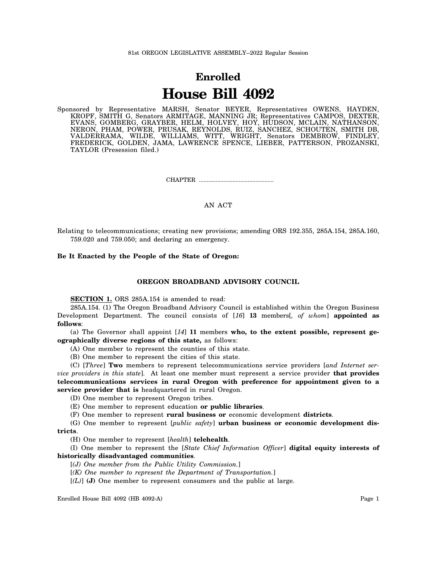# **Enrolled House Bill 4092**

Sponsored by Representative MARSH, Senator BEYER, Representatives OWENS, HAYDEN, KROPF, SMITH G, Senators ARMITAGE, MANNING JR; Representatives CAMPOS, DEXTER, EVANS, GOMBERG, GRAYBER, HELM, HOLVEY, HOY, HUDSON, MCLAIN, NATHANSON, NERON, PHAM, POWER, PRUSAK, REYNOLDS, RUIZ, SANCHEZ, SCHOUTEN, SMITH DB, VALDERRAMA, WILDE, WILLIAMS, WITT, WRIGHT, Senators DEMBROW, FINDLEY, FREDERICK, GOLDEN, JAMA, LAWRENCE SPENCE, LIEBER, PATTERSON, PROZANSKI, TAYLOR (Presession filed.)

CHAPTER .................................................

## AN ACT

Relating to telecommunications; creating new provisions; amending ORS 192.355, 285A.154, 285A.160, 759.020 and 759.050; and declaring an emergency.

## **Be It Enacted by the People of the State of Oregon:**

### **OREGON BROADBAND ADVISORY COUNCIL**

**SECTION 1.** ORS 285A.154 is amended to read:

285A.154. (1) The Oregon Broadband Advisory Council is established within the Oregon Business Development Department. The council consists of [*16*] **13** members[*, of whom*] **appointed as follows**:

(a) The Governor shall appoint [*14*] **11** members **who, to the extent possible, represent geographically diverse regions of this state,** as follows:

(A) One member to represent the counties of this state.

(B) One member to represent the cities of this state.

(C) [*Three*] **Two** members to represent telecommunications service providers [*and Internet service providers in this state*]. At least one member must represent a service provider **that provides telecommunications services in rural Oregon with preference for appointment given to a service provider that is** headquartered in rural Oregon.

(D) One member to represent Oregon tribes.

(E) One member to represent education **or public libraries**.

(F) One member to represent **rural business or** economic development **districts**.

(G) One member to represent [*public safety*] **urban business or economic development districts**.

(H) One member to represent [*health*] **telehealth**.

(I) One member to represent the [*State Chief Information Officer*] **digital equity interests of historically disadvantaged communities**.

[*(J) One member from the Public Utility Commission.*]

[*(K) One member to represent the Department of Transportation.*]

[*(L)*] **(J)** One member to represent consumers and the public at large.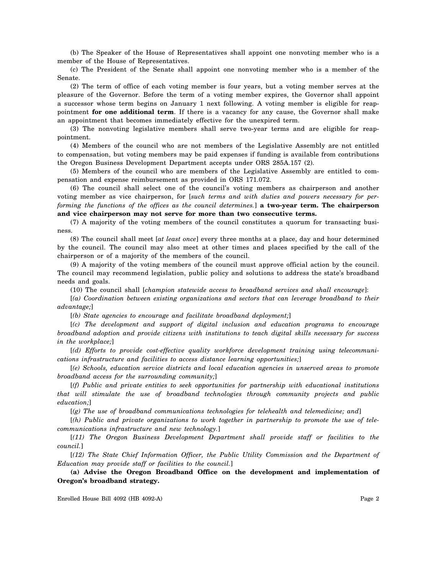(b) The Speaker of the House of Representatives shall appoint one nonvoting member who is a member of the House of Representatives.

(c) The President of the Senate shall appoint one nonvoting member who is a member of the Senate.

(2) The term of office of each voting member is four years, but a voting member serves at the pleasure of the Governor. Before the term of a voting member expires, the Governor shall appoint a successor whose term begins on January 1 next following. A voting member is eligible for reappointment **for one additional term**. If there is a vacancy for any cause, the Governor shall make an appointment that becomes immediately effective for the unexpired term.

(3) The nonvoting legislative members shall serve two-year terms and are eligible for reappointment.

(4) Members of the council who are not members of the Legislative Assembly are not entitled to compensation, but voting members may be paid expenses if funding is available from contributions the Oregon Business Development Department accepts under ORS 285A.157 (2).

(5) Members of the council who are members of the Legislative Assembly are entitled to compensation and expense reimbursement as provided in ORS 171.072.

(6) The council shall select one of the council's voting members as chairperson and another voting member as vice chairperson, for [*such terms and with duties and powers necessary for performing the functions of the offices as the council determines.*] **a two-year term. The chairperson and vice chairperson may not serve for more than two consecutive terms.**

(7) A majority of the voting members of the council constitutes a quorum for transacting business.

(8) The council shall meet [*at least once*] every three months at a place, day and hour determined by the council. The council may also meet at other times and places specified by the call of the chairperson or of a majority of the members of the council.

(9) A majority of the voting members of the council must approve official action by the council. The council may recommend legislation, public policy and solutions to address the state's broadband needs and goals.

(10) The council shall [*champion statewide access to broadband services and shall encourage*]:

[*(a) Coordination between existing organizations and sectors that can leverage broadband to their advantage;*]

[*(b) State agencies to encourage and facilitate broadband deployment;*]

[*(c) The development and support of digital inclusion and education programs to encourage broadband adoption and provide citizens with institutions to teach digital skills necessary for success in the workplace;*]

[*(d) Efforts to provide cost-effective quality workforce development training using telecommunications infrastructure and facilities to access distance learning opportunities;*]

[*(e) Schools, education service districts and local education agencies in unserved areas to promote broadband access for the surrounding community;*]

[*(f) Public and private entities to seek opportunities for partnership with educational institutions that will stimulate the use of broadband technologies through community projects and public education;*]

[*(g) The use of broadband communications technologies for telehealth and telemedicine; and*]

[*(h) Public and private organizations to work together in partnership to promote the use of telecommunications infrastructure and new technology.*]

[*(11) The Oregon Business Development Department shall provide staff or facilities to the council.*]

[*(12) The State Chief Information Officer, the Public Utility Commission and the Department of Education may provide staff or facilities to the council.*]

**(a) Advise the Oregon Broadband Office on the development and implementation of Oregon's broadband strategy.**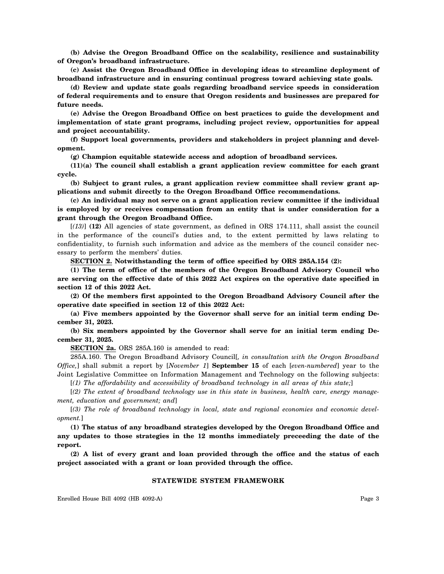**(b) Advise the Oregon Broadband Office on the scalability, resilience and sustainability of Oregon's broadband infrastructure.**

**(c) Assist the Oregon Broadband Office in developing ideas to streamline deployment of broadband infrastructure and in ensuring continual progress toward achieving state goals.**

**(d) Review and update state goals regarding broadband service speeds in consideration of federal requirements and to ensure that Oregon residents and businesses are prepared for future needs.**

**(e) Advise the Oregon Broadband Office on best practices to guide the development and implementation of state grant programs, including project review, opportunities for appeal and project accountability.**

**(f) Support local governments, providers and stakeholders in project planning and development.**

**(g) Champion equitable statewide access and adoption of broadband services.**

**(11)(a) The council shall establish a grant application review committee for each grant cycle.**

**(b) Subject to grant rules, a grant application review committee shall review grant applications and submit directly to the Oregon Broadband Office recommendations.**

**(c) An individual may not serve on a grant application review committee if the individual is employed by or receives compensation from an entity that is under consideration for a grant through the Oregon Broadband Office.**

[*(13)*] **(12)** All agencies of state government, as defined in ORS 174.111, shall assist the council in the performance of the council's duties and, to the extent permitted by laws relating to confidentiality, to furnish such information and advice as the members of the council consider necessary to perform the members' duties.

**SECTION 2. Notwithstanding the term of office specified by ORS 285A.154 (2):**

**(1) The term of office of the members of the Oregon Broadband Advisory Council who are serving on the effective date of this 2022 Act expires on the operative date specified in section 12 of this 2022 Act.**

**(2) Of the members first appointed to the Oregon Broadband Advisory Council after the operative date specified in section 12 of this 2022 Act:**

**(a) Five members appointed by the Governor shall serve for an initial term ending December 31, 2023.**

**(b) Six members appointed by the Governor shall serve for an initial term ending December 31, 2025.**

**SECTION 2a.** ORS 285A.160 is amended to read:

285A.160. The Oregon Broadband Advisory Council[*, in consultation with the Oregon Broadband Office,*] shall submit a report by [*November 1*] **September 15** of each [*even-numbered*] year to the Joint Legislative Committee on Information Management and Technology on the following subjects:

[*(1) The affordability and accessibility of broadband technology in all areas of this state;*]

[*(2) The extent of broadband technology use in this state in business, health care, energy management, education and government; and*]

[*(3) The role of broadband technology in local, state and regional economies and economic development.*]

**(1) The status of any broadband strategies developed by the Oregon Broadband Office and any updates to those strategies in the 12 months immediately preceeding the date of the report.**

**(2) A list of every grant and loan provided through the office and the status of each project associated with a grant or loan provided through the office.**

#### **STATEWIDE SYSTEM FRAMEWORK**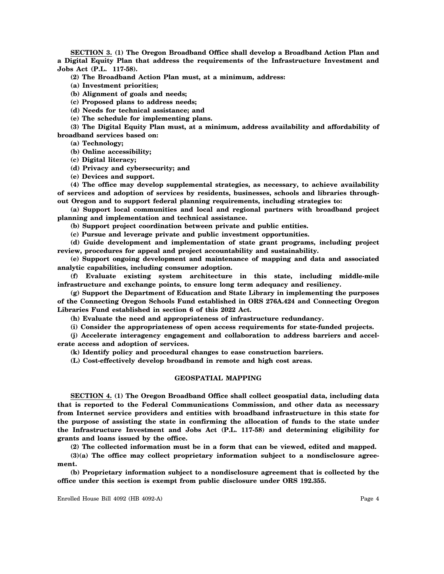**SECTION 3. (1) The Oregon Broadband Office shall develop a Broadband Action Plan and a Digital Equity Plan that address the requirements of the Infrastructure Investment and Jobs Act (P.L. 117-58).**

**(2) The Broadband Action Plan must, at a minimum, address:**

**(a) Investment priorities;**

**(b) Alignment of goals and needs;**

**(c) Proposed plans to address needs;**

**(d) Needs for technical assistance; and**

**(e) The schedule for implementing plans.**

**(3) The Digital Equity Plan must, at a minimum, address availability and affordability of broadband services based on:**

**(a) Technology;**

**(b) Online accessibility;**

**(c) Digital literacy;**

**(d) Privacy and cybersecurity; and**

**(e) Devices and support.**

**(4) The office may develop supplemental strategies, as necessary, to achieve availability of services and adoption of services by residents, businesses, schools and libraries throughout Oregon and to support federal planning requirements, including strategies to:**

**(a) Support local communities and local and regional partners with broadband project planning and implementation and technical assistance.**

**(b) Support project coordination between private and public entities.**

**(c) Pursue and leverage private and public investment opportunities.**

**(d) Guide development and implementation of state grant programs, including project review, procedures for appeal and project accountability and sustainability.**

**(e) Support ongoing development and maintenance of mapping and data and associated analytic capabilities, including consumer adoption.**

**(f) Evaluate existing system architecture in this state, including middle-mile infrastructure and exchange points, to ensure long term adequacy and resiliency.**

**(g) Support the Department of Education and State Library in implementing the purposes of the Connecting Oregon Schools Fund established in ORS 276A.424 and Connecting Oregon Libraries Fund established in section 6 of this 2022 Act.**

**(h) Evaluate the need and appropriateness of infrastructure redundancy.**

**(i) Consider the appropriateness of open access requirements for state-funded projects.**

**(j) Accelerate interagency engagement and collaboration to address barriers and accelerate access and adoption of services.**

**(k) Identify policy and procedural changes to ease construction barriers.**

**(L) Cost-effectively develop broadband in remote and high cost areas.**

#### **GEOSPATIAL MAPPING**

**SECTION 4. (1) The Oregon Broadband Office shall collect geospatial data, including data that is reported to the Federal Communications Commission, and other data as necessary from Internet service providers and entities with broadband infrastructure in this state for the purpose of assisting the state in confirming the allocation of funds to the state under the Infrastructure Investment and Jobs Act (P.L. 117-58) and determining eligibility for grants and loans issued by the office.**

**(2) The collected information must be in a form that can be viewed, edited and mapped.**

**(3)(a) The office may collect proprietary information subject to a nondisclosure agreement.**

**(b) Proprietary information subject to a nondisclosure agreement that is collected by the office under this section is exempt from public disclosure under ORS 192.355.**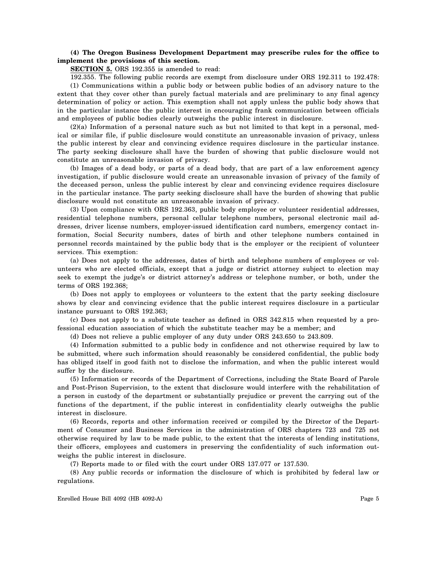# **(4) The Oregon Business Development Department may prescribe rules for the office to implement the provisions of this section.**

**SECTION 5.** ORS 192.355 is amended to read:

192.355. The following public records are exempt from disclosure under ORS 192.311 to 192.478: (1) Communications within a public body or between public bodies of an advisory nature to the extent that they cover other than purely factual materials and are preliminary to any final agency determination of policy or action. This exemption shall not apply unless the public body shows that in the particular instance the public interest in encouraging frank communication between officials and employees of public bodies clearly outweighs the public interest in disclosure.

(2)(a) Information of a personal nature such as but not limited to that kept in a personal, medical or similar file, if public disclosure would constitute an unreasonable invasion of privacy, unless the public interest by clear and convincing evidence requires disclosure in the particular instance. The party seeking disclosure shall have the burden of showing that public disclosure would not constitute an unreasonable invasion of privacy.

(b) Images of a dead body, or parts of a dead body, that are part of a law enforcement agency investigation, if public disclosure would create an unreasonable invasion of privacy of the family of the deceased person, unless the public interest by clear and convincing evidence requires disclosure in the particular instance. The party seeking disclosure shall have the burden of showing that public disclosure would not constitute an unreasonable invasion of privacy.

(3) Upon compliance with ORS 192.363, public body employee or volunteer residential addresses, residential telephone numbers, personal cellular telephone numbers, personal electronic mail addresses, driver license numbers, employer-issued identification card numbers, emergency contact information, Social Security numbers, dates of birth and other telephone numbers contained in personnel records maintained by the public body that is the employer or the recipient of volunteer services. This exemption:

(a) Does not apply to the addresses, dates of birth and telephone numbers of employees or volunteers who are elected officials, except that a judge or district attorney subject to election may seek to exempt the judge's or district attorney's address or telephone number, or both, under the terms of ORS 192.368;

(b) Does not apply to employees or volunteers to the extent that the party seeking disclosure shows by clear and convincing evidence that the public interest requires disclosure in a particular instance pursuant to ORS 192.363;

(c) Does not apply to a substitute teacher as defined in ORS 342.815 when requested by a professional education association of which the substitute teacher may be a member; and

(d) Does not relieve a public employer of any duty under ORS 243.650 to 243.809.

(4) Information submitted to a public body in confidence and not otherwise required by law to be submitted, where such information should reasonably be considered confidential, the public body has obliged itself in good faith not to disclose the information, and when the public interest would suffer by the disclosure.

(5) Information or records of the Department of Corrections, including the State Board of Parole and Post-Prison Supervision, to the extent that disclosure would interfere with the rehabilitation of a person in custody of the department or substantially prejudice or prevent the carrying out of the functions of the department, if the public interest in confidentiality clearly outweighs the public interest in disclosure.

(6) Records, reports and other information received or compiled by the Director of the Department of Consumer and Business Services in the administration of ORS chapters 723 and 725 not otherwise required by law to be made public, to the extent that the interests of lending institutions, their officers, employees and customers in preserving the confidentiality of such information outweighs the public interest in disclosure.

(7) Reports made to or filed with the court under ORS 137.077 or 137.530.

(8) Any public records or information the disclosure of which is prohibited by federal law or regulations.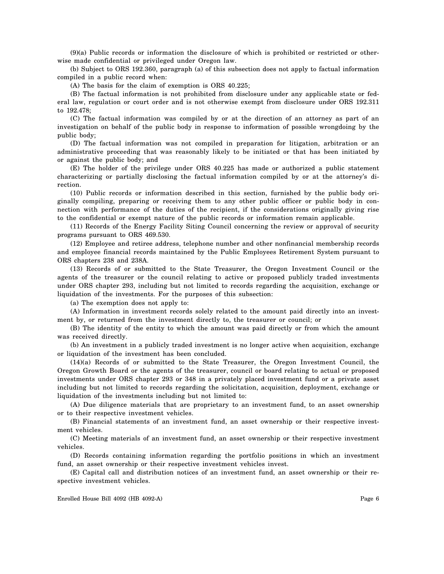(9)(a) Public records or information the disclosure of which is prohibited or restricted or otherwise made confidential or privileged under Oregon law.

(b) Subject to ORS 192.360, paragraph (a) of this subsection does not apply to factual information compiled in a public record when:

(A) The basis for the claim of exemption is ORS 40.225;

(B) The factual information is not prohibited from disclosure under any applicable state or federal law, regulation or court order and is not otherwise exempt from disclosure under ORS 192.311 to 192.478;

(C) The factual information was compiled by or at the direction of an attorney as part of an investigation on behalf of the public body in response to information of possible wrongdoing by the public body;

(D) The factual information was not compiled in preparation for litigation, arbitration or an administrative proceeding that was reasonably likely to be initiated or that has been initiated by or against the public body; and

(E) The holder of the privilege under ORS 40.225 has made or authorized a public statement characterizing or partially disclosing the factual information compiled by or at the attorney's direction.

(10) Public records or information described in this section, furnished by the public body originally compiling, preparing or receiving them to any other public officer or public body in connection with performance of the duties of the recipient, if the considerations originally giving rise to the confidential or exempt nature of the public records or information remain applicable.

(11) Records of the Energy Facility Siting Council concerning the review or approval of security programs pursuant to ORS 469.530.

(12) Employee and retiree address, telephone number and other nonfinancial membership records and employee financial records maintained by the Public Employees Retirement System pursuant to ORS chapters 238 and 238A.

(13) Records of or submitted to the State Treasurer, the Oregon Investment Council or the agents of the treasurer or the council relating to active or proposed publicly traded investments under ORS chapter 293, including but not limited to records regarding the acquisition, exchange or liquidation of the investments. For the purposes of this subsection:

(a) The exemption does not apply to:

(A) Information in investment records solely related to the amount paid directly into an investment by, or returned from the investment directly to, the treasurer or council; or

(B) The identity of the entity to which the amount was paid directly or from which the amount was received directly.

(b) An investment in a publicly traded investment is no longer active when acquisition, exchange or liquidation of the investment has been concluded.

(14)(a) Records of or submitted to the State Treasurer, the Oregon Investment Council, the Oregon Growth Board or the agents of the treasurer, council or board relating to actual or proposed investments under ORS chapter 293 or 348 in a privately placed investment fund or a private asset including but not limited to records regarding the solicitation, acquisition, deployment, exchange or liquidation of the investments including but not limited to:

(A) Due diligence materials that are proprietary to an investment fund, to an asset ownership or to their respective investment vehicles.

(B) Financial statements of an investment fund, an asset ownership or their respective investment vehicles.

(C) Meeting materials of an investment fund, an asset ownership or their respective investment vehicles.

(D) Records containing information regarding the portfolio positions in which an investment fund, an asset ownership or their respective investment vehicles invest.

(E) Capital call and distribution notices of an investment fund, an asset ownership or their respective investment vehicles.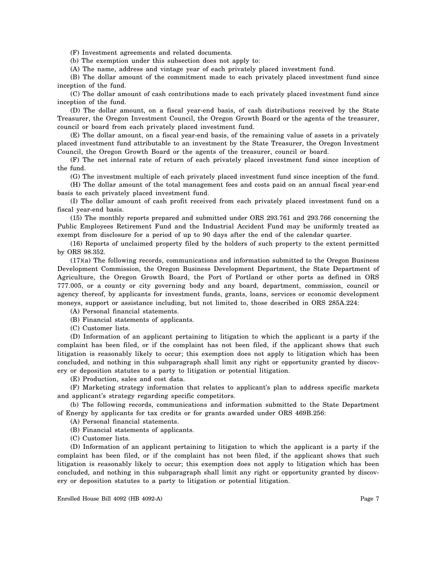(F) Investment agreements and related documents.

(b) The exemption under this subsection does not apply to:

(A) The name, address and vintage year of each privately placed investment fund.

(B) The dollar amount of the commitment made to each privately placed investment fund since inception of the fund.

(C) The dollar amount of cash contributions made to each privately placed investment fund since inception of the fund.

(D) The dollar amount, on a fiscal year-end basis, of cash distributions received by the State Treasurer, the Oregon Investment Council, the Oregon Growth Board or the agents of the treasurer, council or board from each privately placed investment fund.

(E) The dollar amount, on a fiscal year-end basis, of the remaining value of assets in a privately placed investment fund attributable to an investment by the State Treasurer, the Oregon Investment Council, the Oregon Growth Board or the agents of the treasurer, council or board.

(F) The net internal rate of return of each privately placed investment fund since inception of the fund.

(G) The investment multiple of each privately placed investment fund since inception of the fund.

(H) The dollar amount of the total management fees and costs paid on an annual fiscal year-end basis to each privately placed investment fund.

(I) The dollar amount of cash profit received from each privately placed investment fund on a fiscal year-end basis.

(15) The monthly reports prepared and submitted under ORS 293.761 and 293.766 concerning the Public Employees Retirement Fund and the Industrial Accident Fund may be uniformly treated as exempt from disclosure for a period of up to 90 days after the end of the calendar quarter.

(16) Reports of unclaimed property filed by the holders of such property to the extent permitted by ORS 98.352.

(17)(a) The following records, communications and information submitted to the Oregon Business Development Commission, the Oregon Business Development Department, the State Department of Agriculture, the Oregon Growth Board, the Port of Portland or other ports as defined in ORS 777.005, or a county or city governing body and any board, department, commission, council or agency thereof, by applicants for investment funds, grants, loans, services or economic development moneys, support or assistance including, but not limited to, those described in ORS 285A.224:

(A) Personal financial statements.

(B) Financial statements of applicants.

(C) Customer lists.

(D) Information of an applicant pertaining to litigation to which the applicant is a party if the complaint has been filed, or if the complaint has not been filed, if the applicant shows that such litigation is reasonably likely to occur; this exemption does not apply to litigation which has been concluded, and nothing in this subparagraph shall limit any right or opportunity granted by discovery or deposition statutes to a party to litigation or potential litigation.

(E) Production, sales and cost data.

(F) Marketing strategy information that relates to applicant's plan to address specific markets and applicant's strategy regarding specific competitors.

(b) The following records, communications and information submitted to the State Department of Energy by applicants for tax credits or for grants awarded under ORS 469B.256:

(A) Personal financial statements.

(B) Financial statements of applicants.

(C) Customer lists.

(D) Information of an applicant pertaining to litigation to which the applicant is a party if the complaint has been filed, or if the complaint has not been filed, if the applicant shows that such litigation is reasonably likely to occur; this exemption does not apply to litigation which has been concluded, and nothing in this subparagraph shall limit any right or opportunity granted by discovery or deposition statutes to a party to litigation or potential litigation.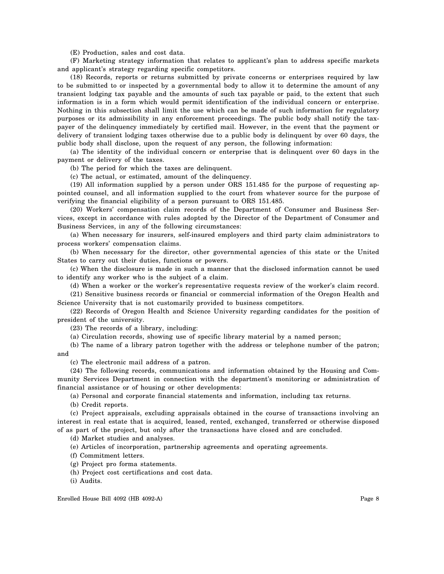(E) Production, sales and cost data.

(F) Marketing strategy information that relates to applicant's plan to address specific markets and applicant's strategy regarding specific competitors.

(18) Records, reports or returns submitted by private concerns or enterprises required by law to be submitted to or inspected by a governmental body to allow it to determine the amount of any transient lodging tax payable and the amounts of such tax payable or paid, to the extent that such information is in a form which would permit identification of the individual concern or enterprise. Nothing in this subsection shall limit the use which can be made of such information for regulatory purposes or its admissibility in any enforcement proceedings. The public body shall notify the taxpayer of the delinquency immediately by certified mail. However, in the event that the payment or delivery of transient lodging taxes otherwise due to a public body is delinquent by over 60 days, the public body shall disclose, upon the request of any person, the following information:

(a) The identity of the individual concern or enterprise that is delinquent over 60 days in the payment or delivery of the taxes.

(b) The period for which the taxes are delinquent.

(c) The actual, or estimated, amount of the delinquency.

(19) All information supplied by a person under ORS 151.485 for the purpose of requesting appointed counsel, and all information supplied to the court from whatever source for the purpose of verifying the financial eligibility of a person pursuant to ORS 151.485.

(20) Workers' compensation claim records of the Department of Consumer and Business Services, except in accordance with rules adopted by the Director of the Department of Consumer and Business Services, in any of the following circumstances:

(a) When necessary for insurers, self-insured employers and third party claim administrators to process workers' compensation claims.

(b) When necessary for the director, other governmental agencies of this state or the United States to carry out their duties, functions or powers.

(c) When the disclosure is made in such a manner that the disclosed information cannot be used to identify any worker who is the subject of a claim.

(d) When a worker or the worker's representative requests review of the worker's claim record.

(21) Sensitive business records or financial or commercial information of the Oregon Health and Science University that is not customarily provided to business competitors.

(22) Records of Oregon Health and Science University regarding candidates for the position of president of the university.

(23) The records of a library, including:

(a) Circulation records, showing use of specific library material by a named person;

(b) The name of a library patron together with the address or telephone number of the patron; and

(c) The electronic mail address of a patron.

(24) The following records, communications and information obtained by the Housing and Community Services Department in connection with the department's monitoring or administration of financial assistance or of housing or other developments:

(a) Personal and corporate financial statements and information, including tax returns.

(b) Credit reports.

(c) Project appraisals, excluding appraisals obtained in the course of transactions involving an interest in real estate that is acquired, leased, rented, exchanged, transferred or otherwise disposed of as part of the project, but only after the transactions have closed and are concluded.

(d) Market studies and analyses.

(e) Articles of incorporation, partnership agreements and operating agreements.

(f) Commitment letters.

(g) Project pro forma statements.

(h) Project cost certifications and cost data.

(i) Audits.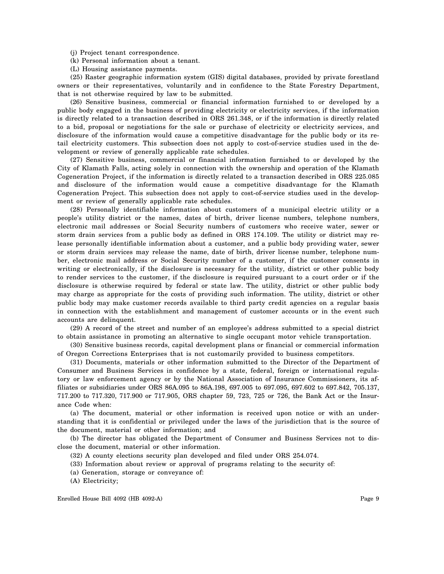(j) Project tenant correspondence.

(k) Personal information about a tenant.

(L) Housing assistance payments.

(25) Raster geographic information system (GIS) digital databases, provided by private forestland owners or their representatives, voluntarily and in confidence to the State Forestry Department, that is not otherwise required by law to be submitted.

(26) Sensitive business, commercial or financial information furnished to or developed by a public body engaged in the business of providing electricity or electricity services, if the information is directly related to a transaction described in ORS 261.348, or if the information is directly related to a bid, proposal or negotiations for the sale or purchase of electricity or electricity services, and disclosure of the information would cause a competitive disadvantage for the public body or its retail electricity customers. This subsection does not apply to cost-of-service studies used in the development or review of generally applicable rate schedules.

(27) Sensitive business, commercial or financial information furnished to or developed by the City of Klamath Falls, acting solely in connection with the ownership and operation of the Klamath Cogeneration Project, if the information is directly related to a transaction described in ORS 225.085 and disclosure of the information would cause a competitive disadvantage for the Klamath Cogeneration Project. This subsection does not apply to cost-of-service studies used in the development or review of generally applicable rate schedules.

(28) Personally identifiable information about customers of a municipal electric utility or a people's utility district or the names, dates of birth, driver license numbers, telephone numbers, electronic mail addresses or Social Security numbers of customers who receive water, sewer or storm drain services from a public body as defined in ORS 174.109. The utility or district may release personally identifiable information about a customer, and a public body providing water, sewer or storm drain services may release the name, date of birth, driver license number, telephone number, electronic mail address or Social Security number of a customer, if the customer consents in writing or electronically, if the disclosure is necessary for the utility, district or other public body to render services to the customer, if the disclosure is required pursuant to a court order or if the disclosure is otherwise required by federal or state law. The utility, district or other public body may charge as appropriate for the costs of providing such information. The utility, district or other public body may make customer records available to third party credit agencies on a regular basis in connection with the establishment and management of customer accounts or in the event such accounts are delinquent.

(29) A record of the street and number of an employee's address submitted to a special district to obtain assistance in promoting an alternative to single occupant motor vehicle transportation.

(30) Sensitive business records, capital development plans or financial or commercial information of Oregon Corrections Enterprises that is not customarily provided to business competitors.

(31) Documents, materials or other information submitted to the Director of the Department of Consumer and Business Services in confidence by a state, federal, foreign or international regulatory or law enforcement agency or by the National Association of Insurance Commissioners, its affiliates or subsidiaries under ORS 86A.095 to 86A.198, 697.005 to 697.095, 697.602 to 697.842, 705.137, 717.200 to 717.320, 717.900 or 717.905, ORS chapter 59, 723, 725 or 726, the Bank Act or the Insurance Code when:

(a) The document, material or other information is received upon notice or with an understanding that it is confidential or privileged under the laws of the jurisdiction that is the source of the document, material or other information; and

(b) The director has obligated the Department of Consumer and Business Services not to disclose the document, material or other information.

(32) A county elections security plan developed and filed under ORS 254.074.

- (33) Information about review or approval of programs relating to the security of:
- (a) Generation, storage or conveyance of:
- (A) Electricity;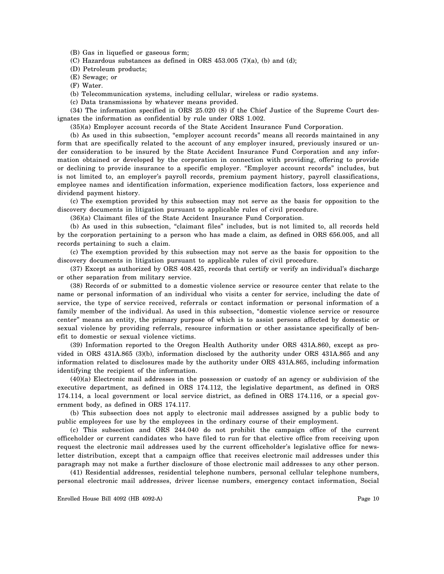(B) Gas in liquefied or gaseous form;

(C) Hazardous substances as defined in ORS  $453.005$  (7)(a), (b) and (d);

(D) Petroleum products;

(E) Sewage; or

(F) Water.

(b) Telecommunication systems, including cellular, wireless or radio systems.

(c) Data transmissions by whatever means provided.

(34) The information specified in ORS 25.020 (8) if the Chief Justice of the Supreme Court designates the information as confidential by rule under ORS 1.002.

(35)(a) Employer account records of the State Accident Insurance Fund Corporation.

(b) As used in this subsection, "employer account records" means all records maintained in any form that are specifically related to the account of any employer insured, previously insured or under consideration to be insured by the State Accident Insurance Fund Corporation and any information obtained or developed by the corporation in connection with providing, offering to provide or declining to provide insurance to a specific employer. "Employer account records" includes, but is not limited to, an employer's payroll records, premium payment history, payroll classifications, employee names and identification information, experience modification factors, loss experience and dividend payment history.

(c) The exemption provided by this subsection may not serve as the basis for opposition to the discovery documents in litigation pursuant to applicable rules of civil procedure.

(36)(a) Claimant files of the State Accident Insurance Fund Corporation.

(b) As used in this subsection, "claimant files" includes, but is not limited to, all records held by the corporation pertaining to a person who has made a claim, as defined in ORS 656.005, and all records pertaining to such a claim.

(c) The exemption provided by this subsection may not serve as the basis for opposition to the discovery documents in litigation pursuant to applicable rules of civil procedure.

(37) Except as authorized by ORS 408.425, records that certify or verify an individual's discharge or other separation from military service.

(38) Records of or submitted to a domestic violence service or resource center that relate to the name or personal information of an individual who visits a center for service, including the date of service, the type of service received, referrals or contact information or personal information of a family member of the individual. As used in this subsection, "domestic violence service or resource center" means an entity, the primary purpose of which is to assist persons affected by domestic or sexual violence by providing referrals, resource information or other assistance specifically of benefit to domestic or sexual violence victims.

(39) Information reported to the Oregon Health Authority under ORS 431A.860, except as provided in ORS 431A.865 (3)(b), information disclosed by the authority under ORS 431A.865 and any information related to disclosures made by the authority under ORS 431A.865, including information identifying the recipient of the information.

(40)(a) Electronic mail addresses in the possession or custody of an agency or subdivision of the executive department, as defined in ORS 174.112, the legislative department, as defined in ORS 174.114, a local government or local service district, as defined in ORS 174.116, or a special government body, as defined in ORS 174.117.

(b) This subsection does not apply to electronic mail addresses assigned by a public body to public employees for use by the employees in the ordinary course of their employment.

(c) This subsection and ORS 244.040 do not prohibit the campaign office of the current officeholder or current candidates who have filed to run for that elective office from receiving upon request the electronic mail addresses used by the current officeholder's legislative office for newsletter distribution, except that a campaign office that receives electronic mail addresses under this paragraph may not make a further disclosure of those electronic mail addresses to any other person.

(41) Residential addresses, residential telephone numbers, personal cellular telephone numbers, personal electronic mail addresses, driver license numbers, emergency contact information, Social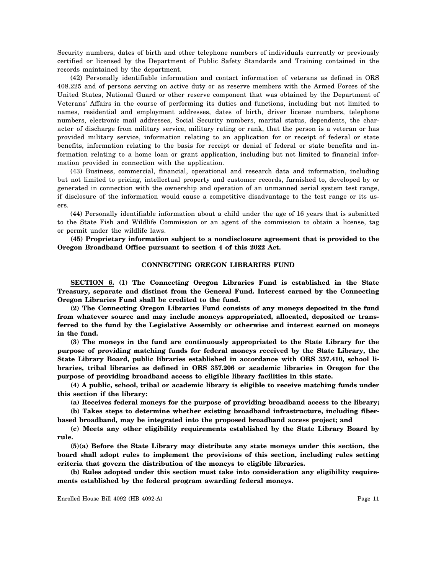Security numbers, dates of birth and other telephone numbers of individuals currently or previously certified or licensed by the Department of Public Safety Standards and Training contained in the records maintained by the department.

(42) Personally identifiable information and contact information of veterans as defined in ORS 408.225 and of persons serving on active duty or as reserve members with the Armed Forces of the United States, National Guard or other reserve component that was obtained by the Department of Veterans' Affairs in the course of performing its duties and functions, including but not limited to names, residential and employment addresses, dates of birth, driver license numbers, telephone numbers, electronic mail addresses, Social Security numbers, marital status, dependents, the character of discharge from military service, military rating or rank, that the person is a veteran or has provided military service, information relating to an application for or receipt of federal or state benefits, information relating to the basis for receipt or denial of federal or state benefits and information relating to a home loan or grant application, including but not limited to financial information provided in connection with the application.

(43) Business, commercial, financial, operational and research data and information, including but not limited to pricing, intellectual property and customer records, furnished to, developed by or generated in connection with the ownership and operation of an unmanned aerial system test range, if disclosure of the information would cause a competitive disadvantage to the test range or its users.

(44) Personally identifiable information about a child under the age of 16 years that is submitted to the State Fish and Wildlife Commission or an agent of the commission to obtain a license, tag or permit under the wildlife laws.

**(45) Proprietary information subject to a nondisclosure agreement that is provided to the Oregon Broadband Office pursuant to section 4 of this 2022 Act.**

## **CONNECTING OREGON LIBRARIES FUND**

**SECTION 6. (1) The Connecting Oregon Libraries Fund is established in the State Treasury, separate and distinct from the General Fund. Interest earned by the Connecting Oregon Libraries Fund shall be credited to the fund.**

**(2) The Connecting Oregon Libraries Fund consists of any moneys deposited in the fund from whatever source and may include moneys appropriated, allocated, deposited or transferred to the fund by the Legislative Assembly or otherwise and interest earned on moneys in the fund.**

**(3) The moneys in the fund are continuously appropriated to the State Library for the purpose of providing matching funds for federal moneys received by the State Library, the State Library Board, public libraries established in accordance with ORS 357.410, school libraries, tribal libraries as defined in ORS 357.206 or academic libraries in Oregon for the purpose of providing broadband access to eligible library facilities in this state.**

**(4) A public, school, tribal or academic library is eligible to receive matching funds under this section if the library:**

**(a) Receives federal moneys for the purpose of providing broadband access to the library;**

**(b) Takes steps to determine whether existing broadband infrastructure, including fiberbased broadband, may be integrated into the proposed broadband access project; and**

**(c) Meets any other eligibility requirements established by the State Library Board by rule.**

**(5)(a) Before the State Library may distribute any state moneys under this section, the board shall adopt rules to implement the provisions of this section, including rules setting criteria that govern the distribution of the moneys to eligible libraries.**

**(b) Rules adopted under this section must take into consideration any eligibility requirements established by the federal program awarding federal moneys.**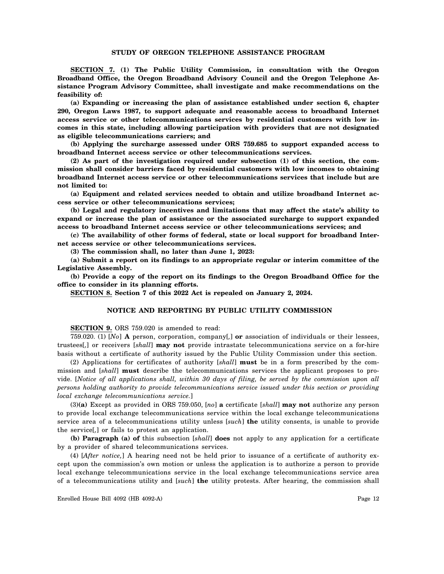# **STUDY OF OREGON TELEPHONE ASSISTANCE PROGRAM**

**SECTION 7. (1) The Public Utility Commission, in consultation with the Oregon Broadband Office, the Oregon Broadband Advisory Council and the Oregon Telephone Assistance Program Advisory Committee, shall investigate and make recommendations on the feasibility of:**

**(a) Expanding or increasing the plan of assistance established under section 6, chapter 290, Oregon Laws 1987, to support adequate and reasonable access to broadband Internet access service or other telecommunications services by residential customers with low incomes in this state, including allowing participation with providers that are not designated as eligible telecommunications carriers; and**

**(b) Applying the surcharge assessed under ORS 759.685 to support expanded access to broadband Internet access service or other telecommunications services.**

**(2) As part of the investigation required under subsection (1) of this section, the commission shall consider barriers faced by residential customers with low incomes to obtaining broadband Internet access service or other telecommunications services that include but are not limited to:**

**(a) Equipment and related services needed to obtain and utilize broadband Internet access service or other telecommunications services;**

**(b) Legal and regulatory incentives and limitations that may affect the state's ability to expand or increase the plan of assistance or the associated surcharge to support expanded access to broadband Internet access service or other telecommunications services; and**

**(c) The availability of other forms of federal, state or local support for broadband Internet access service or other telecommunications services.**

**(3) The commission shall, no later than June 1, 2023:**

**(a) Submit a report on its findings to an appropriate regular or interim committee of the Legislative Assembly.**

**(b) Provide a copy of the report on its findings to the Oregon Broadband Office for the office to consider in its planning efforts.**

**SECTION 8. Section 7 of this 2022 Act is repealed on January 2, 2024.**

# **NOTICE AND REPORTING BY PUBLIC UTILITY COMMISSION**

**SECTION 9.** ORS 759.020 is amended to read:

759.020. (1) [*No*] **A** person, corporation, company[*,*] **or** association of individuals or their lessees, trustees[*,*] or receivers [*shall*] **may not** provide intrastate telecommunications service on a for-hire basis without a certificate of authority issued by the Public Utility Commission under this section.

(2) Applications for certificates of authority [*shall*] **must** be in a form prescribed by the commission and [*shall*] **must** describe the telecommunications services the applicant proposes to provide. [*Notice of all applications shall, within 30 days of filing, be served by the commission upon all persons holding authority to provide telecommunications service issued under this section or providing local exchange telecommunications service.*]

(3)**(a)** Except as provided in ORS 759.050, [*no*] **a** certificate [*shall*] **may not** authorize any person to provide local exchange telecommunications service within the local exchange telecommunications service area of a telecommunications utility unless [*such*] **the** utility consents, is unable to provide the service[*,*] or fails to protest an application.

**(b) Paragraph (a) of** this subsection [*shall*] **does** not apply to any application for a certificate by a provider of shared telecommunications services.

(4) [*After notice,*] A hearing need not be held prior to issuance of a certificate of authority except upon the commission's own motion or unless the application is to authorize a person to provide local exchange telecommunications service in the local exchange telecommunications service area of a telecommunications utility and [*such*] **the** utility protests. After hearing, the commission shall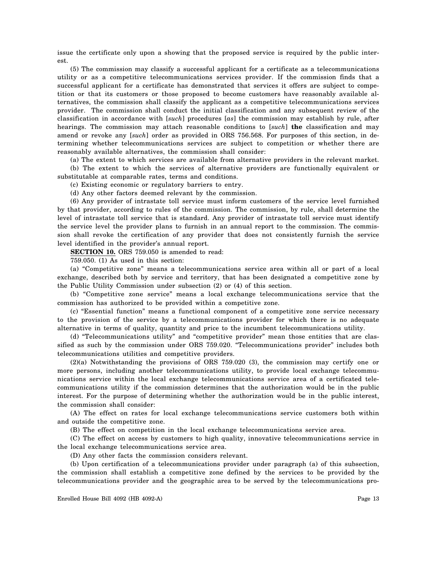issue the certificate only upon a showing that the proposed service is required by the public interest.

(5) The commission may classify a successful applicant for a certificate as a telecommunications utility or as a competitive telecommunications services provider. If the commission finds that a successful applicant for a certificate has demonstrated that services it offers are subject to competition or that its customers or those proposed to become customers have reasonably available alternatives, the commission shall classify the applicant as a competitive telecommunications services provider. The commission shall conduct the initial classification and any subsequent review of the classification in accordance with [*such*] procedures [*as*] the commission may establish by rule, after hearings. The commission may attach reasonable conditions to [*such*] **the** classification and may amend or revoke any [*such*] order as provided in ORS 756.568. For purposes of this section, in determining whether telecommunications services are subject to competition or whether there are reasonably available alternatives, the commission shall consider:

(a) The extent to which services are available from alternative providers in the relevant market. (b) The extent to which the services of alternative providers are functionally equivalent or

substitutable at comparable rates, terms and conditions.

(c) Existing economic or regulatory barriers to entry.

(d) Any other factors deemed relevant by the commission.

(6) Any provider of intrastate toll service must inform customers of the service level furnished by that provider, according to rules of the commission. The commission, by rule, shall determine the level of intrastate toll service that is standard. Any provider of intrastate toll service must identify the service level the provider plans to furnish in an annual report to the commission. The commission shall revoke the certification of any provider that does not consistently furnish the service level identified in the provider's annual report.

**SECTION 10.** ORS 759.050 is amended to read:

759.050. (1) As used in this section:

(a) "Competitive zone" means a telecommunications service area within all or part of a local exchange, described both by service and territory, that has been designated a competitive zone by the Public Utility Commission under subsection (2) or (4) of this section.

(b) "Competitive zone service" means a local exchange telecommunications service that the commission has authorized to be provided within a competitive zone.

(c) "Essential function" means a functional component of a competitive zone service necessary to the provision of the service by a telecommunications provider for which there is no adequate alternative in terms of quality, quantity and price to the incumbent telecommunications utility.

(d) "Telecommunications utility" and "competitive provider" mean those entities that are classified as such by the commission under ORS 759.020. "Telecommunications provider" includes both telecommunications utilities and competitive providers.

(2)(a) Notwithstanding the provisions of ORS 759.020 (3), the commission may certify one or more persons, including another telecommunications utility, to provide local exchange telecommunications service within the local exchange telecommunications service area of a certificated telecommunications utility if the commission determines that the authorization would be in the public interest. For the purpose of determining whether the authorization would be in the public interest, the commission shall consider:

(A) The effect on rates for local exchange telecommunications service customers both within and outside the competitive zone.

(B) The effect on competition in the local exchange telecommunications service area.

(C) The effect on access by customers to high quality, innovative telecommunications service in the local exchange telecommunications service area.

(D) Any other facts the commission considers relevant.

(b) Upon certification of a telecommunications provider under paragraph (a) of this subsection, the commission shall establish a competitive zone defined by the services to be provided by the telecommunications provider and the geographic area to be served by the telecommunications pro-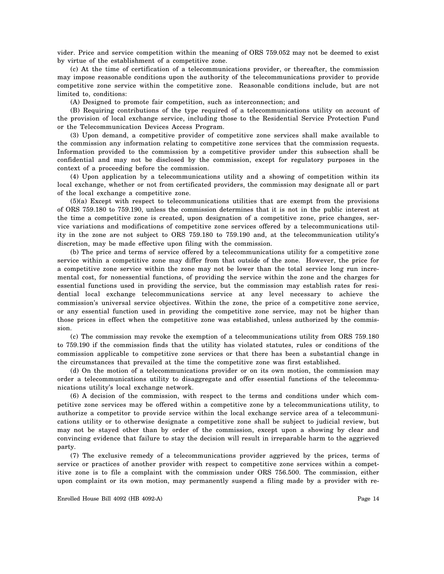vider. Price and service competition within the meaning of ORS 759.052 may not be deemed to exist by virtue of the establishment of a competitive zone.

(c) At the time of certification of a telecommunications provider, or thereafter, the commission may impose reasonable conditions upon the authority of the telecommunications provider to provide competitive zone service within the competitive zone. Reasonable conditions include, but are not limited to, conditions:

(A) Designed to promote fair competition, such as interconnection; and

(B) Requiring contributions of the type required of a telecommunications utility on account of the provision of local exchange service, including those to the Residential Service Protection Fund or the Telecommunication Devices Access Program.

(3) Upon demand, a competitive provider of competitive zone services shall make available to the commission any information relating to competitive zone services that the commission requests. Information provided to the commission by a competitive provider under this subsection shall be confidential and may not be disclosed by the commission, except for regulatory purposes in the context of a proceeding before the commission.

(4) Upon application by a telecommunications utility and a showing of competition within its local exchange, whether or not from certificated providers, the commission may designate all or part of the local exchange a competitive zone.

(5)(a) Except with respect to telecommunications utilities that are exempt from the provisions of ORS 759.180 to 759.190, unless the commission determines that it is not in the public interest at the time a competitive zone is created, upon designation of a competitive zone, price changes, service variations and modifications of competitive zone services offered by a telecommunications utility in the zone are not subject to ORS 759.180 to 759.190 and, at the telecommunication utility's discretion, may be made effective upon filing with the commission.

(b) The price and terms of service offered by a telecommunications utility for a competitive zone service within a competitive zone may differ from that outside of the zone. However, the price for a competitive zone service within the zone may not be lower than the total service long run incremental cost, for nonessential functions, of providing the service within the zone and the charges for essential functions used in providing the service, but the commission may establish rates for residential local exchange telecommunications service at any level necessary to achieve the commission's universal service objectives. Within the zone, the price of a competitive zone service, or any essential function used in providing the competitive zone service, may not be higher than those prices in effect when the competitive zone was established, unless authorized by the commission.

(c) The commission may revoke the exemption of a telecommunications utility from ORS 759.180 to 759.190 if the commission finds that the utility has violated statutes, rules or conditions of the commission applicable to competitive zone services or that there has been a substantial change in the circumstances that prevailed at the time the competitive zone was first established.

(d) On the motion of a telecommunications provider or on its own motion, the commission may order a telecommunications utility to disaggregate and offer essential functions of the telecommunications utility's local exchange network.

(6) A decision of the commission, with respect to the terms and conditions under which competitive zone services may be offered within a competitive zone by a telecommunications utility, to authorize a competitor to provide service within the local exchange service area of a telecommunications utility or to otherwise designate a competitive zone shall be subject to judicial review, but may not be stayed other than by order of the commission, except upon a showing by clear and convincing evidence that failure to stay the decision will result in irreparable harm to the aggrieved party.

(7) The exclusive remedy of a telecommunications provider aggrieved by the prices, terms of service or practices of another provider with respect to competitive zone services within a competitive zone is to file a complaint with the commission under ORS 756.500. The commission, either upon complaint or its own motion, may permanently suspend a filing made by a provider with re